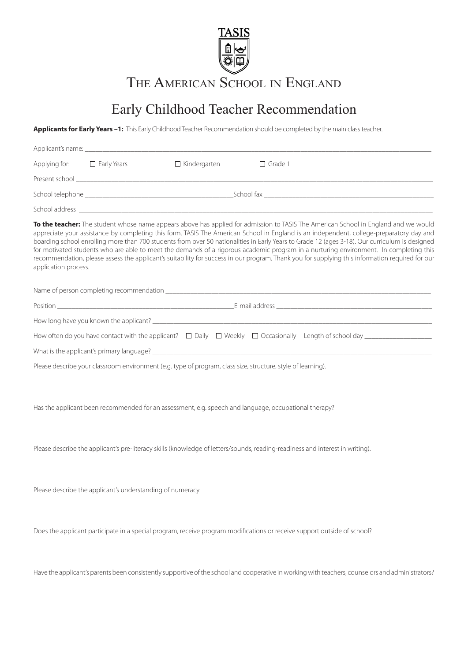

THE AMERICAN SCHOOL IN ENGLAND

## Early Childhood Teacher Recommendation

**Applicants for Early Years –1:** This Early Childhood Teacher Recommendation should be completed by the main class teacher.

| Applying for: | $\Box$ Early Years                                                                                                                                                                                                             | $\Box$ Kindergarten | $\Box$ Grade 1 |
|---------------|--------------------------------------------------------------------------------------------------------------------------------------------------------------------------------------------------------------------------------|---------------------|----------------|
|               | Present school and the contract of the contract of the contract of the contract of the contract of the contract of the contract of the contract of the contract of the contract of the contract of the contract of the contrac |                     |                |
|               | School fax and the state of the state of the state of the state of the state of the state of the state of the                                                                                                                  |                     |                |
|               |                                                                                                                                                                                                                                |                     |                |

**To the teacher:** The student whose name appears above has applied for admission to TASIS The American School in England and we would appreciate your assistance by completing this form. TASIS The American School in England is an independent, college-preparatory day and boarding school enrolling more than 700 students from over 50 nationalities in Early Years to Grade 12 (ages 3-18). Our curriculum is designed for motivated students who are able to meet the demands of a rigorous academic program in a nurturing environment. In completing this recommendation, please assess the applicant's suitability for success in our program. Thank you for supplying this information required for our application process.

Name of person completing recommendation

|                                                                                                              | E-mail address experience and the contract of the contract of the contract of the contract of the contract of |  |  |  |  |
|--------------------------------------------------------------------------------------------------------------|---------------------------------------------------------------------------------------------------------------|--|--|--|--|
|                                                                                                              |                                                                                                               |  |  |  |  |
|                                                                                                              |                                                                                                               |  |  |  |  |
|                                                                                                              |                                                                                                               |  |  |  |  |
| Please describe your classroom environment (e.g. type of program, class size, structure, style of learning). |                                                                                                               |  |  |  |  |

Has the applicant been recommended for an assessment, e.g. speech and language, occupational therapy?

Please describe the applicant's pre-literacy skills (knowledge of letters/sounds, reading-readiness and interest in writing).

Please describe the applicant's understanding of numeracy.

Does the applicant participate in a special program, receive program modifications or receive support outside of school?

Have the applicant's parents been consistently supportive of the school and cooperative in working with teachers, counselors and administrators?